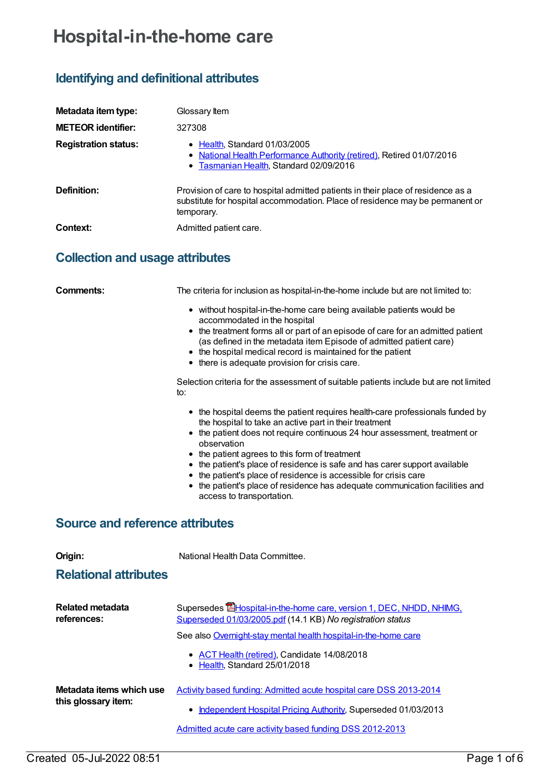# **Hospital-in-the-home care**

## **Identifying and definitional attributes**

| Metadata item type:         | Glossary Item                                                                                                                                                                   |
|-----------------------------|---------------------------------------------------------------------------------------------------------------------------------------------------------------------------------|
| <b>METEOR identifier:</b>   | 327308                                                                                                                                                                          |
| <b>Registration status:</b> | • Health, Standard 01/03/2005<br>• National Health Performance Authority (retired), Retired 01/07/2016<br>• Tasmanian Health, Standard 02/09/2016                               |
| Definition:                 | Provision of care to hospital admitted patients in their place of residence as a<br>substitute for hospital accommodation. Place of residence may be permanent or<br>temporary. |
| Context:                    | Admitted patient care.                                                                                                                                                          |

## **Collection and usage attributes**

| Comments:                              | The criteria for inclusion as hospital-in-the-home include but are not limited to:                                                                                                                                                                                                                                                                                                                                                                                                                                                                    |  |
|----------------------------------------|-------------------------------------------------------------------------------------------------------------------------------------------------------------------------------------------------------------------------------------------------------------------------------------------------------------------------------------------------------------------------------------------------------------------------------------------------------------------------------------------------------------------------------------------------------|--|
|                                        | • without hospital-in-the-home care being available patients would be<br>accommodated in the hospital<br>• the treatment forms all or part of an episode of care for an admitted patient<br>(as defined in the metadata item Episode of admitted patient care)<br>• the hospital medical record is maintained for the patient<br>• there is adequate provision for crisis care.                                                                                                                                                                       |  |
|                                        | Selection criteria for the assessment of suitable patients include but are not limited<br>to:                                                                                                                                                                                                                                                                                                                                                                                                                                                         |  |
|                                        | • the hospital deems the patient requires health-care professionals funded by<br>the hospital to take an active part in their treatment<br>• the patient does not require continuous 24 hour assessment, treatment or<br>observation<br>• the patient agrees to this form of treatment<br>• the patient's place of residence is safe and has carer support available<br>• the patient's place of residence is accessible for crisis care<br>• the patient's place of residence has adequate communication facilities and<br>access to transportation. |  |
| <b>Source and reference attributes</b> |                                                                                                                                                                                                                                                                                                                                                                                                                                                                                                                                                       |  |
| Origin:                                | National Health Data Committee.                                                                                                                                                                                                                                                                                                                                                                                                                                                                                                                       |  |
| <b>Relational attributes</b>           |                                                                                                                                                                                                                                                                                                                                                                                                                                                                                                                                                       |  |
| <b>Related metadata</b><br>references: | Supersedes <b>E</b> Hospital-in-the-home care, version 1, DEC, NHDD, NHIMG,<br>Superseded 01/03/2005.pdf (14.1 KB) No registration status                                                                                                                                                                                                                                                                                                                                                                                                             |  |

See also Overnight-stay mental health [hospital-in-the-home](https://meteor.aihw.gov.au/content/648351) care

- ACT Health [\(retired\)](https://meteor.aihw.gov.au/RegistrationAuthority/9), Candidate 14/08/2018
- [Health](https://meteor.aihw.gov.au/RegistrationAuthority/12), Standard 25/01/2018

| Metadata items which use | Activity based funding: Admitted acute hospital care DSS 2013-2014 |
|--------------------------|--------------------------------------------------------------------|
| this glossary item:      |                                                                    |
|                          | • Independent Hospital Pricing Authority, Superseded 01/03/2013    |

Admitted acute care activity based funding DSS [2012-2013](https://meteor.aihw.gov.au/content/478403)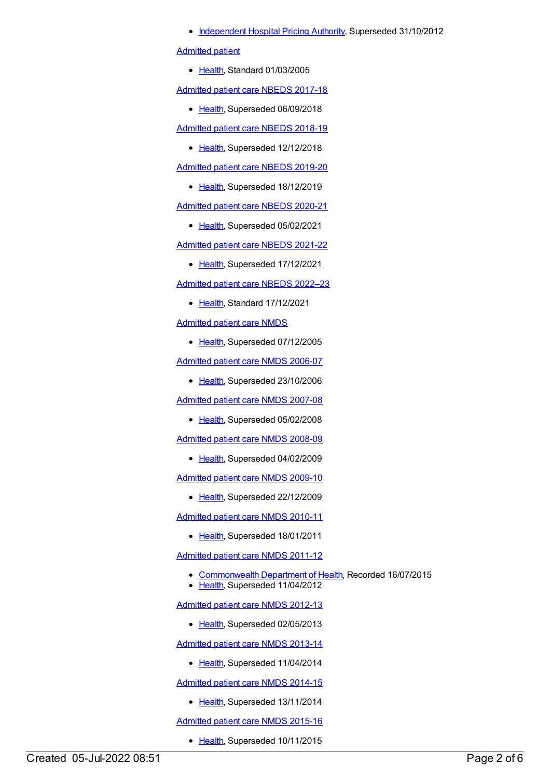• [Independent](https://meteor.aihw.gov.au/RegistrationAuthority/3) Hospital Pricing Authority, Superseded 31/10/2012

[Admitted](https://meteor.aihw.gov.au/content/268957) patient

• [Health](https://meteor.aihw.gov.au/RegistrationAuthority/12), Standard 01/03/2005

[Admitted](https://meteor.aihw.gov.au/content/682938) patient care NBEDS 2017-18

• [Health](https://meteor.aihw.gov.au/RegistrationAuthority/12), Superseded 06/09/2018

[Admitted](https://meteor.aihw.gov.au/content/690741) patient care NBEDS 2018-19

• [Health](https://meteor.aihw.gov.au/RegistrationAuthority/12), Superseded 12/12/2018

[Admitted](https://meteor.aihw.gov.au/content/705869) patient care NBEDS 2019-20

• [Health](https://meteor.aihw.gov.au/RegistrationAuthority/12), Superseded 18/12/2019

[Admitted](https://meteor.aihw.gov.au/content/715998) patient care NBEDS 2020-21

• [Health](https://meteor.aihw.gov.au/RegistrationAuthority/12), Superseded 05/02/2021

[Admitted](https://meteor.aihw.gov.au/content/728441) patient care NBEDS 2021-22

• [Health](https://meteor.aihw.gov.au/RegistrationAuthority/12), Superseded 17/12/2021

[Admitted](https://meteor.aihw.gov.au/content/742171) patient care NBEDS 2022–23

• [Health](https://meteor.aihw.gov.au/RegistrationAuthority/12), Standard 17/12/2021

[Admitted](https://meteor.aihw.gov.au/content/273050) patient care NMDS

• [Health](https://meteor.aihw.gov.au/RegistrationAuthority/12), Superseded 07/12/2005

[Admitted](https://meteor.aihw.gov.au/content/334023) patient care NMDS 2006-07

• [Health](https://meteor.aihw.gov.au/RegistrationAuthority/12), Superseded 23/10/2006

[Admitted](https://meteor.aihw.gov.au/content/339089) patient care NMDS 2007-08

• [Health](https://meteor.aihw.gov.au/RegistrationAuthority/12), Superseded 05/02/2008

[Admitted](https://meteor.aihw.gov.au/content/361679) patient care NMDS 2008-09

• [Health](https://meteor.aihw.gov.au/RegistrationAuthority/12), Superseded 04/02/2009

[Admitted](https://meteor.aihw.gov.au/content/374205) patient care NMDS 2009-10

• [Health](https://meteor.aihw.gov.au/RegistrationAuthority/12), Superseded 22/12/2009

[Admitted](https://meteor.aihw.gov.au/content/386797) patient care NMDS 2010-11

• [Health](https://meteor.aihw.gov.au/RegistrationAuthority/12), Superseded 18/01/2011

[Admitted](https://meteor.aihw.gov.au/content/426861) patient care NMDS 2011-12

- [Commonwealth](https://meteor.aihw.gov.au/RegistrationAuthority/10) Department of Health, Recorded 16/07/2015
- [Health](https://meteor.aihw.gov.au/RegistrationAuthority/12), Superseded 11/04/2012

[Admitted](https://meteor.aihw.gov.au/content/466132) patient care NMDS 2012-13

• [Health](https://meteor.aihw.gov.au/RegistrationAuthority/12), Superseded 02/05/2013

[Admitted](https://meteor.aihw.gov.au/content/491555) patient care NMDS 2013-14

• [Health](https://meteor.aihw.gov.au/RegistrationAuthority/12), Superseded 11/04/2014

[Admitted](https://meteor.aihw.gov.au/content/535047) patient care NMDS 2014-15

• [Health](https://meteor.aihw.gov.au/RegistrationAuthority/12), Superseded 13/11/2014

[Admitted](https://meteor.aihw.gov.au/content/588909) patient care NMDS 2015-16

• [Health](https://meteor.aihw.gov.au/RegistrationAuthority/12), Superseded 10/11/2015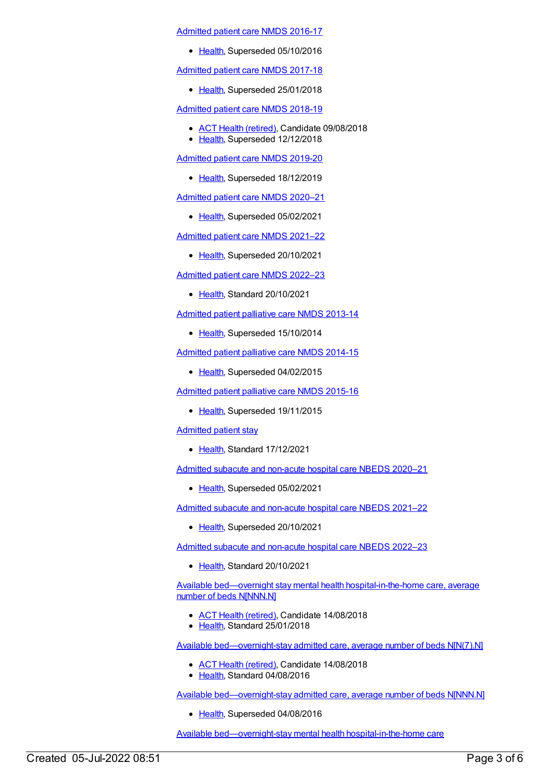#### [Admitted](https://meteor.aihw.gov.au/content/612171) patient care NMDS 2016-17

• [Health](https://meteor.aihw.gov.au/RegistrationAuthority/12), Superseded 05/10/2016

### [Admitted](https://meteor.aihw.gov.au/content/641349) patient care NMDS 2017-18

• [Health](https://meteor.aihw.gov.au/RegistrationAuthority/12), Superseded 25/01/2018

[Admitted](https://meteor.aihw.gov.au/content/676382) patient care NMDS 2018-19

- ACT Health [\(retired\)](https://meteor.aihw.gov.au/RegistrationAuthority/9), Candidate 09/08/2018
- [Health](https://meteor.aihw.gov.au/RegistrationAuthority/12), Superseded 12/12/2018

[Admitted](https://meteor.aihw.gov.au/content/699728) patient care NMDS 2019-20

• [Health](https://meteor.aihw.gov.au/RegistrationAuthority/12), Superseded 18/12/2019

[Admitted](https://meteor.aihw.gov.au/content/713850) patient care NMDS 2020–21

• [Health](https://meteor.aihw.gov.au/RegistrationAuthority/12), Superseded 05/02/2021

[Admitted](https://meteor.aihw.gov.au/content/728439) patient care NMDS 2021–22

• [Health](https://meteor.aihw.gov.au/RegistrationAuthority/12), Superseded 20/10/2021

[Admitted](https://meteor.aihw.gov.au/content/742173) patient care NMDS 2022–23

• [Health](https://meteor.aihw.gov.au/RegistrationAuthority/12), Standard 20/10/2021

[Admitted](https://meteor.aihw.gov.au/content/504641) patient palliative care NMDS 2013-14

• [Health](https://meteor.aihw.gov.au/RegistrationAuthority/12), Superseded 15/10/2014

[Admitted](https://meteor.aihw.gov.au/content/553212) patient palliative care NMDS 2014-15

• [Health](https://meteor.aihw.gov.au/RegistrationAuthority/12), Superseded 04/02/2015

[Admitted](https://meteor.aihw.gov.au/content/590512) patient palliative care NMDS 2015-16

• [Health](https://meteor.aihw.gov.au/RegistrationAuthority/12), Superseded 19/11/2015

[Admitted](https://meteor.aihw.gov.au/content/750462) patient stay

• [Health](https://meteor.aihw.gov.au/RegistrationAuthority/12), Standard 17/12/2021

Admitted subacute and [non-acute](https://meteor.aihw.gov.au/content/713854) hospital care NBEDS 2020–21

• [Health](https://meteor.aihw.gov.au/RegistrationAuthority/12), Superseded 05/02/2021

Admitted subacute and [non-acute](https://meteor.aihw.gov.au/content/727327) hospital care NBEDS 2021–22

• [Health](https://meteor.aihw.gov.au/RegistrationAuthority/12), Superseded 20/10/2021

Admitted subacute and [non-acute](https://meteor.aihw.gov.au/content/742177) hospital care NBEDS 2022–23

• [Health](https://meteor.aihw.gov.au/RegistrationAuthority/12), Standard 20/10/2021

Available bed—overnight stay mental health [hospital-in-the-home](https://meteor.aihw.gov.au/content/646853) care, average number of beds N[NNN.N]

- ACT Health [\(retired\)](https://meteor.aihw.gov.au/RegistrationAuthority/9), Candidate 14/08/2018
- Elealth, Standard 25/01/2018

Available [bed—overnight-stay](https://meteor.aihw.gov.au/content/616014) admitted care, average number of beds N[N(7).N]

- ACT Health [\(retired\)](https://meteor.aihw.gov.au/RegistrationAuthority/9), Candidate 14/08/2018
- [Health](https://meteor.aihw.gov.au/RegistrationAuthority/12), Standard 04/08/2016

Available [bed—overnight-stay](https://meteor.aihw.gov.au/content/374151) admitted care, average number of beds N[NNN.N]

• [Health](https://meteor.aihw.gov.au/RegistrationAuthority/12), Superseded 04/08/2016

Available bed—overnight-stay mental health [hospital-in-the-home](https://meteor.aihw.gov.au/content/646855) care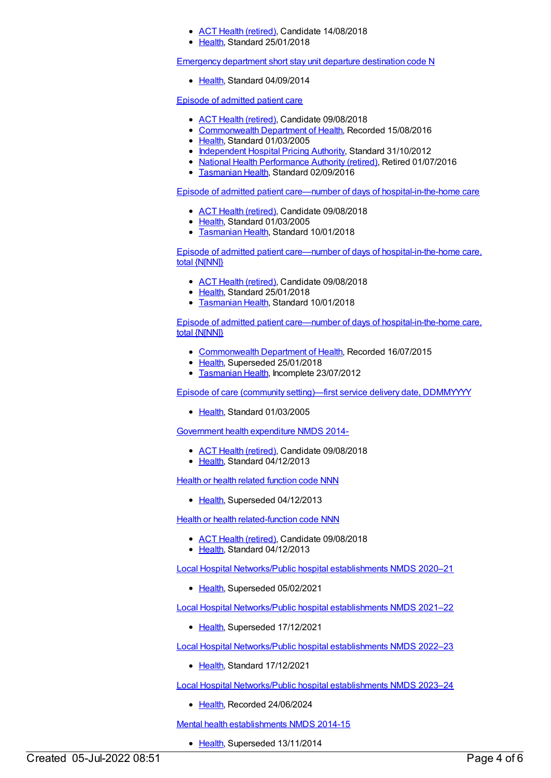- ACT Health [\(retired\)](https://meteor.aihw.gov.au/RegistrationAuthority/9), Candidate 14/08/2018
- [Health](https://meteor.aihw.gov.au/RegistrationAuthority/12), Standard 25/01/2018

[Emergency](https://meteor.aihw.gov.au/content/560008) department short stay unit departure destination code N

• [Health](https://meteor.aihw.gov.au/RegistrationAuthority/12), Standard 04/09/2014

Episode of [admitted](https://meteor.aihw.gov.au/content/268956) patient care

- ACT Health [\(retired\)](https://meteor.aihw.gov.au/RegistrationAuthority/9), Candidate 09/08/2018
- [Commonwealth](https://meteor.aihw.gov.au/RegistrationAuthority/10) Department of Health, Recorded 15/08/2016
- [Health](https://meteor.aihw.gov.au/RegistrationAuthority/12), Standard 01/03/2005
- [Independent](https://meteor.aihw.gov.au/RegistrationAuthority/3) Hospital Pricing Authority, Standard 31/10/2012
- National Health [Performance](https://meteor.aihw.gov.au/RegistrationAuthority/8) Authority (retired), Retired 01/07/2016
- [Tasmanian](https://meteor.aihw.gov.au/RegistrationAuthority/15) Health, Standard 02/09/2016

Episode of admitted patient care—number of days of [hospital-in-the-home](https://meteor.aihw.gov.au/content/269742) care

- ACT Health [\(retired\)](https://meteor.aihw.gov.au/RegistrationAuthority/9), Candidate 09/08/2018
- [Health](https://meteor.aihw.gov.au/RegistrationAuthority/12), Standard 01/03/2005
- **[Tasmanian](https://meteor.aihw.gov.au/RegistrationAuthority/15) Health, Standard 10/01/2018**

Episode of admitted patient care—number of days of [hospital-in-the-home](https://meteor.aihw.gov.au/content/686115) care, total {N[NN]}

- ACT Health [\(retired\)](https://meteor.aihw.gov.au/RegistrationAuthority/9), Candidate 09/08/2018
- [Health](https://meteor.aihw.gov.au/RegistrationAuthority/12), Standard 25/01/2018
- **[Tasmanian](https://meteor.aihw.gov.au/RegistrationAuthority/15) Health, Standard 10/01/2018**

Episode of admitted patient care—number of days of [hospital-in-the-home](https://meteor.aihw.gov.au/content/270305) care, total {N[NN]}

- [Commonwealth](https://meteor.aihw.gov.au/RegistrationAuthority/10) Department of Health, Recorded 16/07/2015
- [Health](https://meteor.aihw.gov.au/RegistrationAuthority/12), Superseded 25/01/2018
- **[Tasmanian](https://meteor.aihw.gov.au/RegistrationAuthority/15) Health, Incomplete 23/07/2012**

Episode of care (community [setting\)—first](https://meteor.aihw.gov.au/content/270210) service delivery date, DDMMYYYY

[Health](https://meteor.aihw.gov.au/RegistrationAuthority/12), Standard 01/03/2005

[Government](https://meteor.aihw.gov.au/content/540601) health expenditure NMDS 2014-

- ACT Health [\(retired\)](https://meteor.aihw.gov.au/RegistrationAuthority/9), Candidate 09/08/2018
- [Health](https://meteor.aihw.gov.au/RegistrationAuthority/12), Standard 04/12/2013

Health or health related [function](https://meteor.aihw.gov.au/content/352162) code NNN

• [Health](https://meteor.aihw.gov.au/RegistrationAuthority/12), Superseded 04/12/2013

**Health or health [related-function](https://meteor.aihw.gov.au/content/533043) code NNN** 

- ACT Health [\(retired\)](https://meteor.aihw.gov.au/RegistrationAuthority/9), Candidate 09/08/2018
- [Health](https://meteor.aihw.gov.au/RegistrationAuthority/12), Standard 04/12/2013

Local Hospital [Networks/Public](https://meteor.aihw.gov.au/content/713848) hospital establishments NMDS 2020–21

• [Health](https://meteor.aihw.gov.au/RegistrationAuthority/12), Superseded 05/02/2021

Local Hospital [Networks/Public](https://meteor.aihw.gov.au/content/727356) hospital establishments NMDS 2021–22

• [Health](https://meteor.aihw.gov.au/RegistrationAuthority/12), Superseded 17/12/2021

Local Hospital [Networks/Public](https://meteor.aihw.gov.au/content/742044) hospital establishments NMDS 2022–23

• [Health](https://meteor.aihw.gov.au/RegistrationAuthority/12), Standard 17/12/2021

Local Hospital [Networks/Public](https://meteor.aihw.gov.au/content/756101) hospital establishments NMDS 2023–24

[Health](https://meteor.aihw.gov.au/RegistrationAuthority/12), Recorded 24/06/2024

Mental health [establishments](https://meteor.aihw.gov.au/content/546889) NMDS 2014-15

• [Health](https://meteor.aihw.gov.au/RegistrationAuthority/12), Superseded 13/11/2014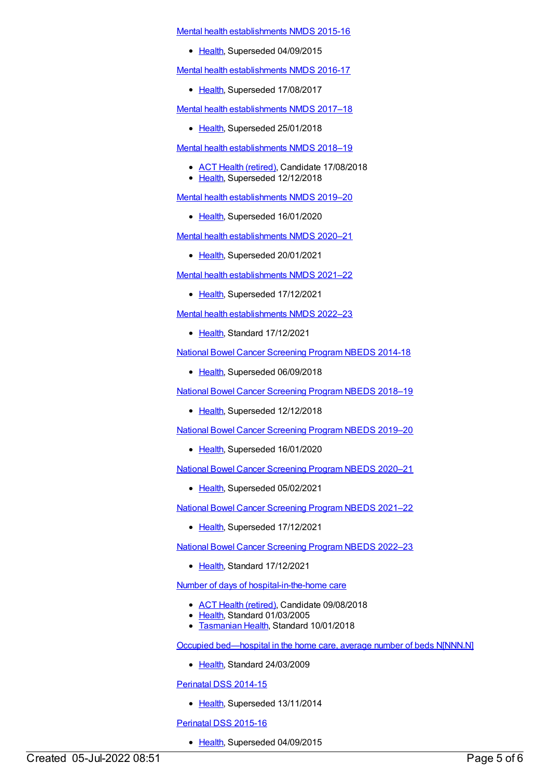Mental health [establishments](https://meteor.aihw.gov.au/content/565661) NMDS 2015-16

• [Health](https://meteor.aihw.gov.au/RegistrationAuthority/12), Superseded 04/09/2015

Mental health [establishments](https://meteor.aihw.gov.au/content/605829) NMDS 2016-17

• [Health](https://meteor.aihw.gov.au/RegistrationAuthority/12), Superseded 17/08/2017

Mental health [establishments](https://meteor.aihw.gov.au/content/645723) NMDS 2017–18

• [Health](https://meteor.aihw.gov.au/RegistrationAuthority/12), Superseded 25/01/2018

Mental health [establishments](https://meteor.aihw.gov.au/content/677892) NMDS 2018–19

- ACT Health [\(retired\)](https://meteor.aihw.gov.au/RegistrationAuthority/9), Candidate 17/08/2018
- [Health](https://meteor.aihw.gov.au/RegistrationAuthority/12), Superseded 12/12/2018

Mental health [establishments](https://meteor.aihw.gov.au/content/707557) NMDS 2019–20

• [Health](https://meteor.aihw.gov.au/RegistrationAuthority/12), Superseded 16/01/2020

Mental health [establishments](https://meteor.aihw.gov.au/content/722168) NMDS 2020–21

• [Health](https://meteor.aihw.gov.au/RegistrationAuthority/12), Superseded 20/01/2021

Mental health [establishments](https://meteor.aihw.gov.au/content/727352) NMDS 2021–22

• [Health](https://meteor.aihw.gov.au/RegistrationAuthority/12), Superseded 17/12/2021

Mental health [establishments](https://meteor.aihw.gov.au/content/742046) NMDS 2022–23

● [Health](https://meteor.aihw.gov.au/RegistrationAuthority/12), Standard 17/12/2021

National Bowel Cancer [Screening](https://meteor.aihw.gov.au/content/529201) Program NBEDS 2014-18

• [Health](https://meteor.aihw.gov.au/RegistrationAuthority/12), Superseded 06/09/2018

National Bowel Cancer [Screening](https://meteor.aihw.gov.au/content/694107) Program NBEDS 2018–19

• [Health](https://meteor.aihw.gov.au/RegistrationAuthority/12), Superseded 12/12/2018

National Bowel Cancer [Screening](https://meteor.aihw.gov.au/content/707481) Program NBEDS 2019–20

• [Health](https://meteor.aihw.gov.au/RegistrationAuthority/12), Superseded 16/01/2020

National Bowel Cancer [Screening](https://meteor.aihw.gov.au/content/715323) Program NBEDS 2020–21

• [Health](https://meteor.aihw.gov.au/RegistrationAuthority/12), Superseded 05/02/2021

National Bowel Cancer [Screening](https://meteor.aihw.gov.au/content/727407) Program NBEDS 2021–22

• [Health](https://meteor.aihw.gov.au/RegistrationAuthority/12), Superseded 17/12/2021

National Bowel Cancer [Screening](https://meteor.aihw.gov.au/content/742048) Program NBEDS 2022–23

• [Health](https://meteor.aihw.gov.au/RegistrationAuthority/12), Standard 17/12/2021

Number of days of [hospital-in-the-home](https://meteor.aihw.gov.au/content/269242) care

- ACT Health [\(retired\)](https://meteor.aihw.gov.au/RegistrationAuthority/9), Candidate 09/08/2018
- [Health](https://meteor.aihw.gov.au/RegistrationAuthority/12), Standard 01/03/2005
- **[Tasmanian](https://meteor.aihw.gov.au/RegistrationAuthority/15) Health, Standard 10/01/2018**

Occupied [bed—hospital](https://meteor.aihw.gov.au/content/373955) in the home care, average number of beds N[NNN.N]

• [Health](https://meteor.aihw.gov.au/RegistrationAuthority/12), Standard 24/03/2009

[Perinatal](https://meteor.aihw.gov.au/content/510127) DSS 2014-15

• [Health](https://meteor.aihw.gov.au/RegistrationAuthority/12), Superseded 13/11/2014

[Perinatal](https://meteor.aihw.gov.au/content/581388) DSS 2015-16

• [Health](https://meteor.aihw.gov.au/RegistrationAuthority/12), Superseded 04/09/2015